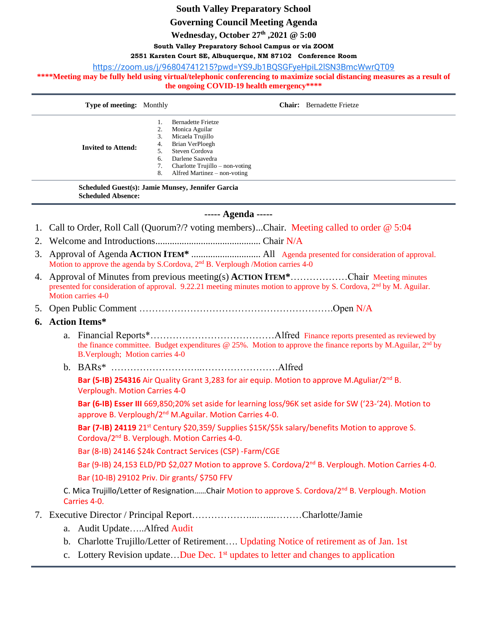# **South Valley Preparatory School**

**Governing Council Meeting Agenda**

**Wednesday, October 27th ,2021 @ 5:00**

## **South Valley Preparatory School Campus or via ZOOM**

**2551 Karsten Court SE, Albuquerque, NM 87102 Conference Room**

[https://zoom.us/j/96804741215?pwd=YS9Jb1BQSGFyeHpiL2lSN3BmcWwrQT09](https://www.google.com/url?q=https://zoom.us/j/96804741215?pwd%3DYS9Jb1BQSGFyeHpiL2lSN3BmcWwrQT09&sa=D&source=calendar&ust=1635603950317672&usg=AOvVaw2nefJDYup9QRGYrckZprGj)

\*\*\*\*Meeting may be fully held using virtual/telephonic conferencing to maximize social distancing measures as a result of **the ongoing COVID-19 health emergency\*\*\*\***

| <b>Type of meeting:</b> Monthly |                            | <b>Chair:</b> Bernadette Frietze                                                                                                                                                              |
|---------------------------------|----------------------------|-----------------------------------------------------------------------------------------------------------------------------------------------------------------------------------------------|
| <b>Invited to Attend:</b>       | 2.<br>3.<br>4.<br>6.<br>8. | <b>Bernadette Frietze</b><br>Monica Aguilar<br>Micaela Trujillo<br>Brian VerPloegh<br>Steven Cordova<br>Darlene Saavedra<br>Charlotte Trujillo $-$ non-voting<br>Alfred Martinez – non-voting |

**Scheduled Guest(s): Jamie Munsey, Jennifer Garcia Scheduled Absence:**

### **----- Agenda -----**

1. Call to Order, Roll Call (Quorum?/? voting members)...Chair. Meeting called to order @ 5:04

2. Welcome and Introductions............................................ Chair N/A

- 3. Approval of Agenda **ACTION ITEM\*** ............................. All Agenda presented for consideration of approval. Motion to approve the agenda by S.Cordova, 2<sup>nd</sup> B. Verplough /Motion carries 4-0
- 4. Approval of Minutes from previous meeting(s) **ACTION ITEM\***………………Chair Meeting minutes presented for consideration of approval. 9.22.21 meeting minutes motion to approve by S. Cordova, 2<sup>nd</sup> by M. Aguilar. Motion carries 4-0

### 5. Open Public Comment …………………………………………………….Open N/A

### **6. Action Items\***

- a. Financial Reports\*…………………………………Alfred Finance reports presented as reviewed by the finance committee. Budget expenditures  $@$  25%. Motion to approve the finance reports by M.Aguilar,  $2<sup>nd</sup>$  by B.Verplough; Motion carries 4-0
- b. BARs\* ………………………..……………………Alfred

**Bar (5-IB) 254316** Air Quality Grant 3,283 for air equip. Motion to approve M.Aguliar/2nd B. Verplough. Motion Carries 4-0

**Bar (6-IB) Esser III** 669,850;20% set aside for learning loss/96K set aside for SW ('23-'24). Motion to approve B. Verplough/2<sup>nd</sup> M.Aguilar. Motion Carries 4-0.

**Bar (7-IB) 24119** 21<sup>st</sup> Century \$20,359/ Supplies \$15K/\$5k salary/benefits Motion to approve S. Cordova/2nd B. Verplough. Motion Carries 4-0.

Bar (8-IB) 24146 \$24k Contract Services (CSP) -Farm/CGE

Bar (9-IB) 24,153 ELD/PD \$2,027 Motion to approve S. Cordova/2<sup>nd</sup> B. Verplough. Motion Carries 4-0. Bar (10-IB) 29102 Priv. Dir grants/ \$750 FFV

C. Mica Trujillo/Letter of Resignation……Chair Motion to approve S. Cordova/2nd B. Verplough. Motion Carries 4-0.

## 7. Executive Director / Principal Report………………...…...………Charlotte/Jamie

- a. Audit Update…..Alfred Audit
- b. Charlotte Trujillo/Letter of Retirement…. Updating Notice of retirement as of Jan. 1st
- c. Lottery Revision update...Due Dec. 1<sup>st</sup> updates to letter and changes to application